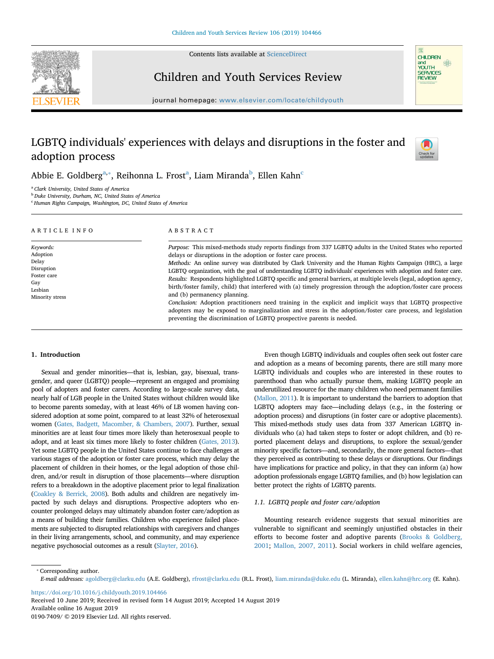

## Children and Youth Services Review



journal homepage: [www.elsevier.com/locate/childyouth](https://www.elsevier.com/locate/childyouth)

# LGBTQ individuals' experiences with delays and disruptions in the foster and adoption process



Abbie E. Goldberg<sup>[a,](#page-0-0)</sup>\*, Reihonn[a](#page-0-0) L. Frost<sup>a</sup>, Liam Miranda<sup>[b](#page-0-2)</sup>, Ellen Kahn<sup>c</sup>

<span id="page-0-0"></span><sup>a</sup> *Clark University, United States of America*

<span id="page-0-2"></span><sup>b</sup> *Duke University, Durham, NC, United States of America*

<span id="page-0-3"></span><sup>c</sup> *Human Rights Campaign, Washington, DC, United States of America*

| ARTICLE INFO                                                                                     | ABSTRACT                                                                                                                                                                                                                                                                                                                                                                                                                                                                                                                                                                                                                                                                                                                                                                                                                                                                                                                                                                                   |
|--------------------------------------------------------------------------------------------------|--------------------------------------------------------------------------------------------------------------------------------------------------------------------------------------------------------------------------------------------------------------------------------------------------------------------------------------------------------------------------------------------------------------------------------------------------------------------------------------------------------------------------------------------------------------------------------------------------------------------------------------------------------------------------------------------------------------------------------------------------------------------------------------------------------------------------------------------------------------------------------------------------------------------------------------------------------------------------------------------|
| Keywords:<br>Adoption<br>Delay<br>Disruption<br>Foster care<br>Gay<br>Lesbian<br>Minority stress | Purpose: This mixed-methods study reports findings from 337 LGBTQ adults in the United States who reported<br>delays or disruptions in the adoption or foster care process.<br>Methods: An online survey was distributed by Clark University and the Human Rights Campaign (HRC), a large<br>LGBTO organization, with the goal of understanding LGBTO individuals' experiences with adoption and foster care.<br>Results: Respondents highlighted LGBTQ specific and general barriers, at multiple levels (legal, adoption agency,<br>birth/foster family, child) that interfered with (a) timely progression through the adoption/foster care process<br>and (b) permanency planning.<br>Conclusion: Adoption practitioners need training in the explicit and implicit ways that LGBTQ prospective<br>adopters may be exposed to marginalization and stress in the adoption/foster care process, and legislation<br>preventing the discrimination of LGBTO prospective parents is needed. |

## **1. Introduction**

Sexual and gender minorities—that is, lesbian, gay, bisexual, transgender, and queer (LGBTQ) people—represent an engaged and promising pool of adopters and foster carers. According to large-scale survey data, nearly half of LGB people in the United States without children would like to become parents someday, with at least 46% of LB women having considered adoption at some point, compared to at least 32% of heterosexual women ([Gates, Badgett, Macomber, & Chambers, 2007](#page-10-0)). Further, sexual minorities are at least four times more likely than heterosexual people to adopt, and at least six times more likely to foster children [\(Gates, 2013\)](#page-9-0). Yet some LGBTQ people in the United States continue to face challenges at various stages of the adoption or foster care process, which may delay the placement of children in their homes, or the legal adoption of those children, and/or result in disruption of those placements—where disruption refers to a breakdown in the adoptive placement prior to legal finalization [\(Coakley & Berrick, 2008\)](#page-9-1). Both adults and children are negatively impacted by such delays and disruptions. Prospective adopters who encounter prolonged delays may ultimately abandon foster care/adoption as a means of building their families. Children who experience failed placements are subjected to disrupted relationships with caregivers and changes in their living arrangements, school, and community, and may experience negative psychosocial outcomes as a result [\(Slayter, 2016](#page-10-1)).

Even though LGBTQ individuals and couples often seek out foster care and adoption as a means of becoming parents, there are still many more LGBTQ individuals and couples who are interested in these routes to parenthood than who actually pursue them, making LGBTQ people an underutilized resource for the many children who need permanent families [\(Mallon, 2011\)](#page-10-2). It is important to understand the barriers to adoption that LGBTQ adopters may face—including delays (e.g., in the fostering or adoption process) and disruptions (in foster care or adoptive placements). This mixed-methods study uses data from 337 American LGBTQ individuals who (a) had taken steps to foster or adopt children, and (b) reported placement delays and disruptions, to explore the sexual/gender minority specific factors—and, secondarily, the more general factors—that they perceived as contributing to these delays or disruptions. Our findings have implications for practice and policy, in that they can inform (a) how adoption professionals engage LGBTQ families, and (b) how legislation can better protect the rights of LGBTQ parents.

#### *1.1. LGBTQ people and foster care/adoption*

Mounting research evidence suggests that sexual minorities are vulnerable to significant and seemingly unjustified obstacles in their efforts to become foster and adoptive parents [\(Brooks & Goldberg,](#page-9-2) [2001;](#page-9-2) [Mallon, 2007, 2011](#page-10-3)). Social workers in child welfare agencies,

<span id="page-0-1"></span>⁎ Corresponding author.

<https://doi.org/10.1016/j.childyouth.2019.104466>

Received 10 June 2019; Received in revised form 14 August 2019; Accepted 14 August 2019 Available online 16 August 2019 0190-7409/ © 2019 Elsevier Ltd. All rights reserved.

*E-mail addresses:* [agoldberg@clarku.edu](mailto:agoldberg@clarku.edu) (A.E. Goldberg), [rfrost@clarku.edu](mailto:rfrost@clarku.edu) (R.L. Frost), [liam.miranda@duke.edu](mailto:liam.miranda@duke.edu) (L. Miranda), [ellen.kahn@hrc.org](mailto:ellen.kahn@hrc.org) (E. Kahn).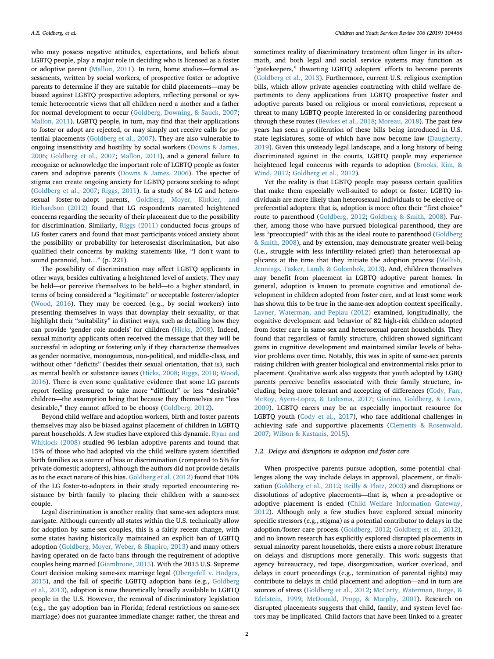who may possess negative attitudes, expectations, and beliefs about LGBTQ people, play a major role in deciding who is licensed as a foster or adoptive parent ([Mallon, 2011\)](#page-10-2). In turn, home studies—formal assessments, written by social workers, of prospective foster or adoptive parents to determine if they are suitable for child placements—may be biased against LGBTQ prospective adopters, reflecting personal or systemic heterocentric views that all children need a mother and a father for normal development to occur ([Goldberg, Downing, & Sauck, 2007](#page-10-4); [Mallon, 2011\)](#page-10-2). LGBTQ people, in turn, may find that their applications to foster or adopt are rejected, or may simply not receive calls for potential placements [\(Goldberg et al., 2007\)](#page-10-4). They are also vulnerable to ongoing insensitivity and hostility by social workers ([Downs & James,](#page-9-3) [2006;](#page-9-3) [Goldberg et al., 2007](#page-10-4); [Mallon, 2011](#page-10-2)), and a general failure to recognize or acknowledge the important role of LGBTQ people as foster carers and adoptive parents ([Downs & James, 2006\)](#page-9-3). The specter of stigma can create ongoing anxiety for LGBTQ persons seeking to adopt ([Goldberg et al., 2007](#page-10-4); [Riggs, 2011](#page-10-5)). In a study of 84 LG and heterosexual foster-to-adopt parents, [Goldberg, Moyer, Kinkler, and](#page-10-6) [Richardson \(2012\)](#page-10-6) found that LG respondents narrated heightened concerns regarding the security of their placement due to the possibility for discrimination. Similarly, [Riggs \(2011\)](#page-10-5) conducted focus groups of LG foster carers and found that most participants voiced anxiety about the possibility or probability for heterosexist discrimination, but also qualified their concerns by making statements like, "I don't want to sound paranoid, but…" (p. 221).

The possibility of discrimination may affect LGBTQ applicants in other ways, besides cultivating a heightened level of anxiety. They may be held—or perceive themselves to be held—to a higher standard, in terms of being considered a "legitimate" or acceptable fosterer/adopter ([Wood, 2016\)](#page-10-7). They may be coerced (e.g., by social workers) into presenting themselves in ways that downplay their sexuality, or that highlight their "suitability" in distinct ways, such as detailing how they can provide 'gender role models' for children ([Hicks, 2008\)](#page-10-8). Indeed, sexual minority applicants often received the message that they will be successful in adopting or fostering only if they characterize themselves as gender normative, monogamous, non-political, and middle-class, and without other "deficits" (besides their sexual orientation, that is), such as mental health or substance issues ([Hicks, 2008](#page-10-8); [Riggs, 2010;](#page-10-9) [Wood,](#page-10-7) [2016\)](#page-10-7). There is even some qualitative evidence that some LG parents report feeling pressured to take more "difficult" or less "desirable" children—the assumption being that because they themselves are "less desirable," they cannot afford to be choosy [\(Goldberg, 2012](#page-10-10)).

Beyond child welfare and adoption workers, birth and foster parents themselves may also be biased against placement of children in LGBTQ parent households. A few studies have explored this dynamic. [Ryan and](#page-10-11) [Whitlock \(2008\)](#page-10-11) studied 96 lesbian adoptive parents and found that 15% of those who had adopted via the child welfare system identified birth families as a source of bias or discrimination (compared to 5% for private domestic adopters), although the authors did not provide details as to the exact nature of this bias. [Goldberg et al. \(2012\)](#page-10-6) found that 10% of the LG foster-to-adopters in their study reported encountering resistance by birth family to placing their children with a same-sex couple.

Legal discrimination is another reality that same-sex adopters must navigate. Although currently all states within the U.S. technically allow for adoption by same-sex couples, this is a fairly recent change, with some states having historically maintained an explicit ban of LGBTQ adoption [\(Goldberg, Moyer, Weber, & Shapiro, 2013\)](#page-10-12) and many others having operated on de facto bans through the requirement of adoptive couples being married ([Giambrone, 2015](#page-10-13)). With the 2015 U.S. Supreme Court decision making same-sex marriage legal ([Obergefell v. Hodges,](#page-10-14) [2015\)](#page-10-14), and the fall of specific LGBTQ adoption bans (e.g., [Goldberg](#page-10-12) [et al., 2013\)](#page-10-12), adoption is now theoretically broadly available to LGBTQ people in the U.S. However, the removal of discriminatory legislation (e.g., the gay adoption ban in Florida; federal restrictions on same-sex marriage) does not guarantee immediate change: rather, the threat and

sometimes reality of discriminatory treatment often linger in its aftermath, and both legal and social service systems may function as "gatekeepers," thwarting LGBTQ adopters' efforts to become parents ([Goldberg et al., 2013](#page-10-12)). Furthermore, current U.S. religious exemption bills, which allow private agencies contracting with child welfare departments to deny applications from LGBTQ prospective foster and adoptive parents based on religious or moral convictions, represent a threat to many LGBTQ people interested in or considering parenthood through these routes [\(Bewkes et al., 2018](#page-9-4); [Moreau, 2018\)](#page-10-15). The past few years has seen a proliferation of these bills being introduced in U.S. state legislatures, some of which have now become law ([Daugherty,](#page-9-5) [2019\)](#page-9-5). Given this unsteady legal landscape, and a long history of being discriminated against in the courts, LGBTQ people may experience heightened legal concerns with regards to adoption [\(Brooks, Kim, &](#page-9-6) [Wind, 2012](#page-9-6); [Goldberg et al., 2012\)](#page-10-6).

Yet the reality is that LGBTQ people may possess certain qualities that make them especially well-suited to adopt or foster. LGBTQ individuals are more likely than heterosexual individuals to be elective or preferential adopters: that is, adoption is more often their "first choice" route to parenthood [\(Goldberg, 2012](#page-10-10); [Goldberg & Smith, 2008\)](#page-10-16). Further, among those who have pursued biological parenthood, they are less "preoccupied" with this as the ideal route to parenthood [\(Goldberg](#page-10-16) [& Smith, 2008\)](#page-10-16), and by extension, may demonstrate greater well-being (i.e., struggle with less infertility-related grief) than heterosexual applicants at the time that they initiate the adoption process ([Mellish,](#page-10-17) [Jennings, Tasker, Lamb, & Golombok, 2013\)](#page-10-17). And, children themselves may benefit from placement in LGBTQ adoptive parent homes. In general, adoption is known to promote cognitive and emotional development in children adopted from foster care, and at least some work has shown this to be true in the same-sex adoption context specifically. [Lavner, Waterman, and Peplau \(2012\)](#page-10-18) examined, longitudinally, the cognitive development and behavior of 82 high-risk children adopted from foster care in same-sex and heterosexual parent households. They found that regardless of family structure, children showed significant gains in cognitive development and maintained similar levels of behavior problems over time. Notably, this was in spite of same-sex parents raising children with greater biological and environmental risks prior to placement. Qualitative work also suggests that youth adopted by LGBQ parents perceive benefits associated with their family structure, including being more tolerant and accepting of differences [\(Cody, Farr,](#page-9-7) [McRoy, Ayers-Lopez, & Ledesma, 2017;](#page-9-7) [Gianino, Goldberg, & Lewis,](#page-10-19) [2009\)](#page-10-19). LGBTQ carers may be an especially important resource for LGBTQ youth [\(Cody et al., 2017](#page-9-7)), who face additional challenges in achieving safe and supportive placements [\(Clements & Rosenwald,](#page-9-8) [2007;](#page-9-8) [Wilson & Kastanis, 2015\)](#page-10-20).

#### *1.2. Delays and disruptions in adoption and foster care*

When prospective parents pursue adoption, some potential challenges along the way include delays in approval, placement, or finalization [\(Goldberg et al., 2012;](#page-10-6) [Reilly & Platz, 2003\)](#page-10-21) and disruptions or dissolutions of adoptive placements—that is, when a pre-adoptive or adoptive placement is ended [\(Child Welfare Information Gateway,](#page-9-9) [2012\)](#page-9-9). Although only a few studies have explored sexual minority specific stressors (e.g., stigma) as a potential contributor to delays in the adoption/foster care process ([Goldberg, 2012](#page-10-10); [Goldberg et al., 2012](#page-10-6)), and no known research has explicitly explored disrupted placements in sexual minority parent households, there exists a more robust literature on delays and disruptions more generally. This work suggests that agency bureaucracy, red tape, disorganization, worker overload, and delays in court proceedings (e.g., termination of parental rights) may contribute to delays in child placement and adoption—and in turn are sources of stress ([Goldberg et al., 2012;](#page-10-6) [McCarty, Waterman, Burge, &](#page-10-22) [Edelstein, 1999](#page-10-22); [McDonald, Propp, & Murphy, 2001](#page-10-23)). Research on disrupted placements suggests that child, family, and system level factors may be implicated. Child factors that have been linked to a greater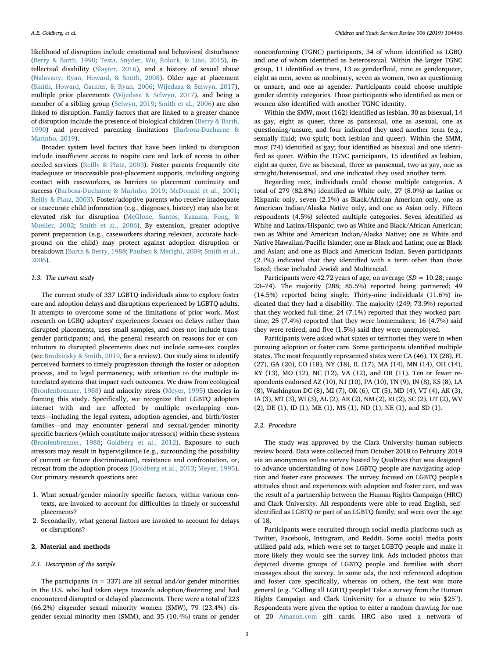likelihood of disruption include emotional and behavioral disturbance ([Berry & Barth, 1990](#page-9-10); [Testa, Snyder, Wu, Rolock, & Liao, 2015](#page-10-24)), intellectual disability [\(Slayter, 2016\)](#page-10-1), and a history of sexual abuse ([Nalavany, Ryan, Howard, & Smith, 2008\)](#page-10-25). Older age at placement ([Smith, Howard, Garnier, & Ryan, 2006](#page-10-26); [Wijedasa & Selwyn, 2017](#page-10-27)), multiple prior placements [\(Wijedasa & Selwyn, 2017\)](#page-10-27), and being a member of a sibling group [\(Selwyn, 2019](#page-10-28); [Smith et al., 2006](#page-10-26)) are also linked to disruption. Family factors that are linked to a greater chance of disruption include the presence of biological children [\(Berry & Barth,](#page-9-10) [1990\)](#page-9-10) and perceived parenting limitations [\(Barbosa-Ducharne &](#page-9-11) [Marinho, 2019](#page-9-11)).

Broader system level factors that have been linked to disruption include insufficient access to respite care and lack of access to other needed services [\(Reilly & Platz, 2003\)](#page-10-21). Foster parents frequently cite inadequate or inaccessible post-placement supports, including ongoing contact with caseworkers, as barriers to placement continuity and success [\(Barbosa-Ducharne & Marinho, 2019;](#page-9-11) [McDonald et al., 2001](#page-10-23); [Reilly & Platz, 2003](#page-10-21)). Foster/adoptive parents who receive inadequate or inaccurate child information (e.g., diagnoses, history) may also be at elevated risk for disruption [\(McGlone, Santos, Kazama, Fong, &](#page-10-29) [Mueller, 2002](#page-10-29); [Smith et al., 2006](#page-10-26)). By extension, greater adoptive parent preparation (e.g., caseworkers sharing relevant, accurate background on the child) may protect against adoption disruption or breakdown ([Barth & Berry, 1988;](#page-9-12) [Paulsen & Merighi, 2009](#page-10-30); [Smith et al.,](#page-10-26) [2006\)](#page-10-26).

#### *1.3. The current study*

The current study of 337 LGBTQ individuals aims to explore foster care and adoption delays and disruptions experienced by LGBTQ adults. It attempts to overcome some of the limitations of prior work. Most research on LGBQ adopters' experiences focuses on delays rather than disrupted placements, uses small samples, and does not include transgender participants; and, the general research on reasons for or contributors to disrupted placements does not include same-sex couples (see [Brodzinsky & Smith, 2019,](#page-9-13) for a review). Our study aims to identify perceived barriers to timely progression through the foster or adoption process, and to legal permanency, with attention to the multiple interrelated systems that impact such outcomes. We draw from ecological ([Bronfenbrenner, 1988](#page-9-14)) and minority stress ([Meyer, 1995\)](#page-10-31) theories in framing this study. Specifically, we recognize that LGBTQ adopters interact with and are affected by multiple overlapping contexts—including the legal system, adoption agencies, and birth/foster families—and may encounter general and sexual/gender minority specific barriers (which constitute major stressors) within these systems ([Bronfenbrenner, 1988](#page-9-14); [Goldberg et al., 2012](#page-10-6)). Exposure to such stressors may result in hypervigilance (e.g., surrounding the possibility of current or future discrimination), resistance and confrontation, or, retreat from the adoption process [\(Goldberg et al., 2013;](#page-10-12) [Meyer, 1995](#page-10-31)). Our primary research questions are:

- 1. What sexual/gender minority specific factors, within various contexts, are invoked to account for difficulties in timely or successful placements?
- 2. Secondarily, what general factors are invoked to account for delays or disruptions?

## **2. Material and methods**

## *2.1. Description of the sample*

The participants ( $n = 337$ ) are all sexual and/or gender minorities in the U.S. who had taken steps towards adoption/fostering and had encountered disrupted or delayed placements. There were a total of 223 (66.2%) cisgender sexual minority women (SMW), 79 (23.4%) cisgender sexual minority men (SMM), and 35 (10.4%) trans or gender

nonconforming (TGNC) participants, 34 of whom identified as LGBQ and one of whom identified as heterosexual. Within the larger TGNC group, 11 identified as trans, 13 as genderfluid, nine as genderqueer, eight as men, seven as nonbinary, seven as women, two as questioning or unsure, and one as agender. Participants could choose multiple gender identity categories. Those participants who identified as men or women also identified with another TGNC identity.

Within the SMW, most (162) identified as lesbian, 30 as bisexual, 14 as gay, eight as queer, three as pansexual, one as asexual, one as questioning/unsure, and four indicated they used another term (e.g., sexually fluid; two-spirit; both lesbian and queer). Within the SMM, most (74) identified as gay; four identified as bisexual and one identified as queer. Within the TGNC participants, 15 identified as lesbian, eight as queer, five as bisexual, three as pansexual, two as gay, one as straight/heterosexual, and one indicated they used another term.

Regarding race, individuals could choose multiple categories. A total of 279 (82.8%) identified as White only, 27 (8.0%) as Latinx or Hispanic only, seven (2.1%) as Black/African American only, one as American Indian/Alaska Native only, and one as Asian only. Fifteen respondents (4.5%) selected multiple categories. Seven identified as White and Latinx/Hispanic; two as White and Black/African American; two as White and American Indian/Alaska Native; one as White and Native Hawaiian/Pacific Islander; one as Black and Latinx; one as Black and Asian; and one as Black and American Indian. Seven participants (2.1%) indicated that they identified with a term other than those listed; these included Jewish and Multiracial.

Participants were 42.72 years of age, on average (*SD* = 10.28; range 23–74). The majority (288; 85.5%) reported being partnered; 49 (14.5%) reported being single. Thirty-nine individuals (11.6%) indicated that they had a disability. The majority (249; 73.9%) reported that they worked full-time; 24 (7.1%) reported that they worked parttime; 25 (7.4%) reported that they were homemakers; 16 (4.7%) said they were retired; and five (1.5%) said they were unemployed.

Participants were asked what states or territories they were in when pursuing adoption or foster care. Some participants identified multiple states. The most frequently represented states were CA (46), TX (28), FL (27), GA (20), CO (18), NY (18), IL (17), MA (14), MN (14), OH (14), KY (13), MO (12), NC (12), VA (12), and OR (11). Ten or fewer respondents endorsed AZ (10), NJ (10), PA (10), TN (9), IN (8), KS (8), LA (8), Washington DC (8), MI (7), OK (6), CT (5), MD (4), VT (4), AK (3), IA (3), MT (3), WI (3), AL (2), AR (2), NM (2), RI (2), SC (2), UT (2), WV (2), DE (1), ID (1), ME (1), MS (1), ND (1), NE (1), and SD (1).

## *2.2. Procedure*

The study was approved by the Clark University human subjects review board. Data were collected from October 2018 to February 2019 via an anonymous online survey hosted by Qualtrics that was designed to advance understanding of how LGBTQ people are navigating adoption and foster care processes. The survey focused on LGBTQ people's attitudes about and experiences with adoption and foster care, and was the result of a partnership between the Human Rights Campaign (HRC) and Clark University. All respondents were able to read English, selfidentified as LGBTQ or part of an LGBTQ family, and were over the age of 18.

Participants were recruited through social media platforms such as Twitter, Facebook, Instagram, and Reddit. Some social media posts utilized paid ads, which were set to target LGBTQ people and make it more likely they would see the survey link. Ads included photos that depicted diverse groups of LGBTQ people and families with short messages about the survey. In some ads, the text referenced adoption and foster care specifically, whereas on others, the text was more general (e.g. "Calling all LGBTQ people! Take a survey from the Human Rights Campaign and Clark University for a chance to win \$25"). Respondents were given the option to enter a random drawing for one of 20 [Amazon.com](http://Amazon.com) gift cards. HRC also used a network of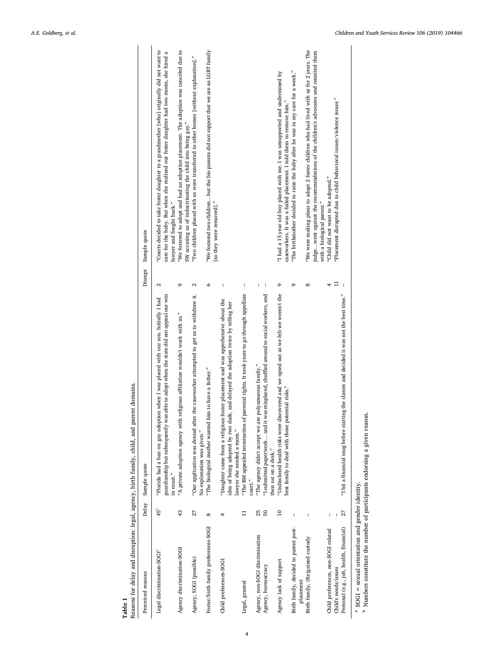| .<br>.<br>.<br>.                                                         |
|--------------------------------------------------------------------------|
| child and normet d                                                       |
| ;<br>;                                                                   |
|                                                                          |
|                                                                          |
|                                                                          |
|                                                                          |
|                                                                          |
| ce delete and deniminate logo a concert hith tom<br> <br> <br> <br> <br> |
| ;<br>;<br>;                                                              |
|                                                                          |
|                                                                          |
| ֖֖֖֧ׅ֧֪ׅ֖֧֧֪֪ׅ֖֚֚֚֚֚֚֚֚֚֚֚֚֚֚֚֚֚֚֚֚֚֚֚֚֚֚֚֚֚֚֚֚֚֡֝֝֝֓֞֝֟֓֞֝              |

<span id="page-3-2"></span>

| Reasons for delay and disruption: legal, agency, birth family, child, and parent<br>Table 1            |                 | domains.                                                                                                                                                                                         |                        |                                                                                                                                                                                                                 |
|--------------------------------------------------------------------------------------------------------|-----------------|--------------------------------------------------------------------------------------------------------------------------------------------------------------------------------------------------|------------------------|-----------------------------------------------------------------------------------------------------------------------------------------------------------------------------------------------------------------|
| Perceived reasons                                                                                      | Delay           | Sample quote                                                                                                                                                                                     | Disrupt                | Sample quote                                                                                                                                                                                                    |
| Legal discrimination-SOGI <sup>ª</sup>                                                                 | 45 <sup>b</sup> | guardianship but subsequently was able to adopt when the state did not appeal our win<br>"Florida had a ban on gay adoption when I was placed with our son. Initially I had<br>in court."        | $\mathbf{\Omega}$      | "Courts decided to take foster daughter to a grandmother [who] originally did not want to<br>care for the baby. But when she realized our foster daughter had two moms, she hired a<br>lawyer and fought back." |
| Agency discrimination-SOGI                                                                             | 43              | "A private adoption agency with religious affiliation wouldn't work with us."                                                                                                                    | G                      | "We fostered to adopt and had an adoption placement. The adoption was canceled due to<br>SW accusing us of indoctrinating the child into being gay."                                                            |
| Agency, SOGI (possible)                                                                                | 27              | "Our application was denied after the caseworker attempted to get us to withdraw it.<br>No explanation was given."                                                                               | $\mathbf{\Omega}$      | "Two children placed with us were transferred to other homes [without explanation]."                                                                                                                            |
| Foster/birth family preferences-SOGI                                                                   | ∞               | "The biological mother wanted him to have a father."                                                                                                                                             | G                      | We fostered two childrenbut the bio parents did not support that we are an LGBT family<br>[so they were removed]."                                                                                              |
| Child preferences-SOGI                                                                                 |                 | "Daughter came from a religious foster placement and was apprehensive about the<br>idea of being adopted by two dads, and delayed the adoption twice by telling her<br>lawyer she needed a mom." | $\mathbf{I}$           |                                                                                                                                                                                                                 |
| Legal, general                                                                                         | 급               | "The BM appealed termination of parental rights. It took years to go through appellate<br>court."                                                                                                | $\mathbf{I}$           |                                                                                                                                                                                                                 |
| Agency, non-SOGI discrimination<br>Agency, bureaucracy                                                 | 25<br>50        | "I submitted paperwork and it was misplaced, shuffled around to social workers, and<br>"The agency didn't accept we are polyamorous family."<br>then sat on a desk."                             | $\mathbf{I}$           |                                                                                                                                                                                                                 |
| Agency lack of support                                                                                 | $\overline{10}$ | "Undisclosed health risks were discovered and we opted out as we felt we weren't the<br>best family to deal with those potential risks."                                                         | G                      | "I had a 15 year old boy placed with me. I was unsupported and undermined by<br>caseworkers. It was a failed placement. I told them to remove him."                                                             |
| Birth family, decided to parent post-<br>placement                                                     | Ï               |                                                                                                                                                                                                  | G                      | "The birthmother decided to raise the baby after he was in my care for a week."                                                                                                                                 |
| Birth family, (Re)gained custody                                                                       | Ï               |                                                                                                                                                                                                  | $\infty$               | "We were making plans to adopt 2 foster children who had lived with us for 2 years. The<br>judgewent against the recommendations of the children's advocates and reunited them<br>with a biological parent."    |
| Personal (e.g., job, health, financial)<br>Child preferences, non-SOGI related<br>Child's needs/issues | 27<br>Ï         | "I hit a financial snag before starting the classes and decided it was not the best time."                                                                                                       | ።<br>$\mathbf{I}$<br>4 | 'Placement disrupted due to child behavioral issues/violence issues."<br>"Child did not want to be adopted."                                                                                                    |
| <sup>a</sup> SOGI = sexual orientation and gender identity.                                            |                 |                                                                                                                                                                                                  |                        |                                                                                                                                                                                                                 |

<span id="page-3-1"></span><span id="page-3-0"></span>

ab

Numbers constitute the number of participants endorsing a given reason.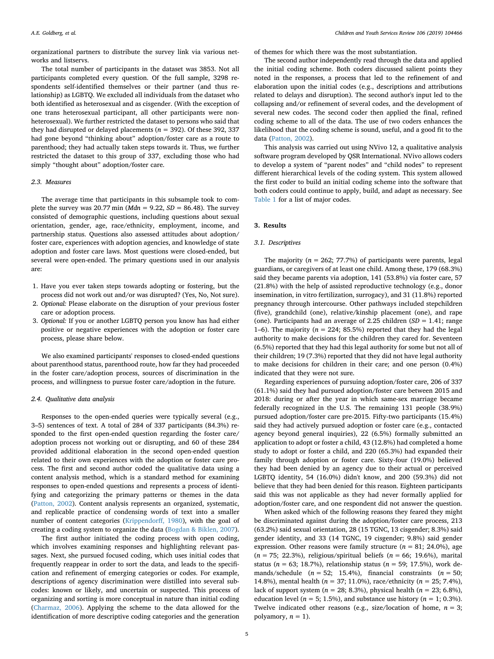organizational partners to distribute the survey link via various networks and listservs.

The total number of participants in the dataset was 3853. Not all participants completed every question. Of the full sample, 3298 respondents self-identified themselves or their partner (and thus relationship) as LGBTQ. We excluded all individuals from the dataset who both identified as heterosexual and as cisgender. (With the exception of one trans heterosexual participant, all other participants were nonheterosexual). We further restricted the dataset to persons who said that they had disrupted or delayed placements ( $n = 392$ ). Of these 392, 337 had gone beyond "thinking about" adoption/foster care as a route to parenthood; they had actually taken steps towards it. Thus, we further restricted the dataset to this group of 337, excluding those who had simply "thought about" adoption/foster care.

## *2.3. Measures*

The average time that participants in this subsample took to complete the survey was 20.77 min ( $Mdn = 9.22$ ,  $SD = 86.48$ ). The survey consisted of demographic questions, including questions about sexual orientation, gender, age, race/ethnicity, employment, income, and partnership status. Questions also assessed attitudes about adoption/ foster care, experiences with adoption agencies, and knowledge of state adoption and foster care laws. Most questions were closed-ended, but several were open-ended. The primary questions used in our analysis are:

- 1. Have you ever taken steps towards adopting or fostering, but the process did not work out and/or was disrupted? (Yes, No, Not sure).
- 2. *Optional:* Please elaborate on the disruption of your previous foster care or adoption process.
- 3. *Optional:* If you or another LGBTQ person you know has had either positive or negative experiences with the adoption or foster care process, please share below.

We also examined participants' responses to closed-ended questions about parenthood status, parenthood route, how far they had proceeded in the foster care/adoption process, sources of discrimination in the process, and willingness to pursue foster care/adoption in the future.

#### *2.4. Qualitative data analysis*

Responses to the open-ended queries were typically several (e.g., 3–5) sentences of text. A total of 284 of 337 participants (84.3%) responded to the first open-ended question regarding the foster care/ adoption process not working out or disrupting, and 60 of these 284 provided additional elaboration in the second open-ended question related to their own experiences with the adoption or foster care process. The first and second author coded the qualitative data using a content analysis method, which is a standard method for examining responses to open-ended questions and represents a process of identifying and categorizing the primary patterns or themes in the data ([Patton, 2002](#page-10-32)). Content analysis represents an organized, systematic, and replicable practice of condensing words of text into a smaller number of content categories [\(Krippendorff, 1980](#page-10-33)), with the goal of creating a coding system to organize the data [\(Bogdan & Biklen, 2007](#page-9-15)).

The first author initiated the coding process with open coding, which involves examining responses and highlighting relevant passages. Next, she pursued focused coding, which uses initial codes that frequently reappear in order to sort the data, and leads to the specification and refinement of emerging categories or codes. For example, descriptions of agency discrimination were distilled into several subcodes: known or likely, and uncertain or suspected. This process of organizing and sorting is more conceptual in nature than initial coding ([Charmaz, 2006](#page-9-16)). Applying the scheme to the data allowed for the identification of more descriptive coding categories and the generation of themes for which there was the most substantiation.

The second author independently read through the data and applied the initial coding scheme. Both coders discussed salient points they noted in the responses, a process that led to the refinement of and elaboration upon the initial codes (e.g., descriptions and attributions related to delays and disruption). The second author's input led to the collapsing and/or refinement of several codes, and the development of several new codes. The second coder then applied the final, refined coding scheme to all of the data. The use of two coders enhances the likelihood that the coding scheme is sound, useful, and a good fit to the data ([Patton, 2002](#page-10-32)).

This analysis was carried out using NVivo 12, a qualitative analysis software program developed by QSR International. NVivo allows coders to develop a system of "parent nodes" and "child nodes" to represent different hierarchical levels of the coding system. This system allowed the first coder to build an initial coding scheme into the software that both coders could continue to apply, build, and adapt as necessary. See [Table 1](#page-3-2) for a list of major codes.

#### **3. Results**

#### *3.1. Descriptives*

The majority  $(n = 262; 77.7%)$  of participants were parents, legal guardians, or caregivers of at least one child. Among these, 179 (68.3%) said they became parents via adoption, 141 (53.8%) via foster care, 57 (21.8%) with the help of assisted reproductive technology (e.g., donor insemination, in vitro fertilization, surrogacy), and 31 (11.8%) reported pregnancy through intercourse. Other pathways included stepchildren (five), grandchild (one), relative/kinship placement (one), and rape (one). Participants had an average of 2.25 children  $(SD = 1.41$ ; range 1–6). The majority ( $n = 224$ ; 85.5%) reported that they had the legal authority to make decisions for the children they cared for. Seventeen (6.5%) reported that they had this legal authority for some but not all of their children; 19 (7.3%) reported that they did not have legal authority to make decisions for children in their care; and one person (0.4%) indicated that they were not sure.

Regarding experiences of pursuing adoption/foster care, 206 of 337 (61.1%) said they had pursued adoption/foster care between 2015 and 2018: during or after the year in which same-sex marriage became federally recognized in the U.S. The remaining 131 people (38.9%) pursued adoption/foster care pre-2015. Fifty-two participants (15.4%) said they had actively pursued adoption or foster care (e.g., contacted agency beyond general inquiries), 22 (6.5%) formally submitted an application to adopt or foster a child, 43 (12.8%) had completed a home study to adopt or foster a child, and 220 (65.3%) had expanded their family through adoption or foster care. Sixty-four (19.0%) believed they had been denied by an agency due to their actual or perceived LGBTQ identity, 54 (16.0%) didn't know, and 200 (59.3%) did not believe that they had been denied for this reason. Eighteen participants said this was not applicable as they had never formally applied for adoption/foster care, and one respondent did not answer the question.

When asked which of the following reasons they feared they might be discriminated against during the adoption/foster care process, 213 (63.2%) said sexual orientation, 28 (15 TGNC, 13 cisgender; 8.3%) said gender identity, and 33 (14 TGNC, 19 cisgender; 9.8%) said gender expression. Other reasons were family structure  $(n = 81; 24.0\%)$ , age (*n* = 75; 22.3%), religious/spiritual beliefs (*n* = 66; 19.6%), marital status (*n* = 63; 18.7%), relationship status (*n* = 59; 17.5%), work demands/schedule  $(n = 52; 15.4\%)$ , financial constraints  $(n = 50;$ 14.8%), mental health (*n* = 37; 11.0%), race/ethnicity (*n* = 25; 7.4%), lack of support system (*n* = 28; 8.3%), physical health (*n* = 23; 6.8%), education level ( $n = 5$ ; 1.5%), and substance use history ( $n = 1$ ; 0.3%). Twelve indicated other reasons (e.g., size/location of home, *n* = 3; polyamory,  $n = 1$ ).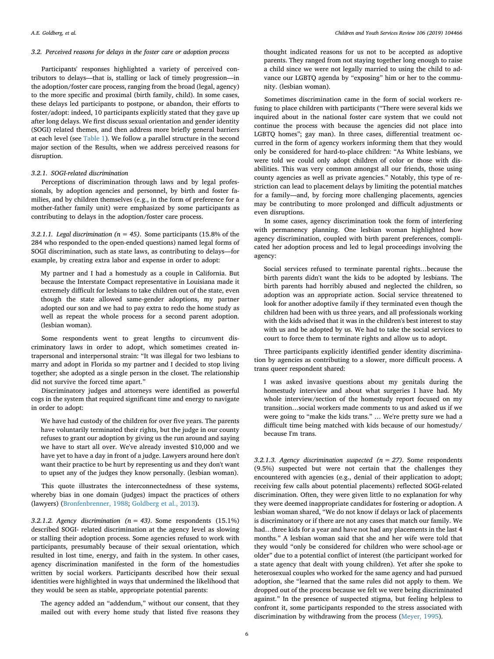#### *3.2. Perceived reasons for delays in the foster care or adoption process*

Participants' responses highlighted a variety of perceived contributors to delays—that is, stalling or lack of timely progression—in the adoption/foster care process, ranging from the broad (legal, agency) to the more specific and proximal (birth family, child). In some cases, these delays led participants to postpone, or abandon, their efforts to foster/adopt: indeed, 10 participants explicitly stated that they gave up after long delays. We first discuss sexual orientation and gender identity (SOGI) related themes, and then address more briefly general barriers at each level (see [Table 1\)](#page-3-2). We follow a parallel structure in the second major section of the Results, when we address perceived reasons for disruption.

#### *3.2.1. SOGI-related discrimination*

Perceptions of discrimination through laws and by legal professionals, by adoption agencies and personnel, by birth and foster families, and by children themselves (e.g., in the form of preference for a mother-father family unit) were emphasized by some participants as contributing to delays in the adoption/foster care process.

*3.2.1.1. Legal discrimination (n = 45)*. Some participants (15.8% of the 284 who responded to the open-ended questions) named legal forms of SOGI discrimination, such as state laws, as contributing to delays—for example, by creating extra labor and expense in order to adopt:

My partner and I had a homestudy as a couple in California. But because the Interstate Compact representative in Louisiana made it extremely difficult for lesbians to take children out of the state, even though the state allowed same-gender adoptions, my partner adopted our son and we had to pay extra to redo the home study as well as repeat the whole process for a second parent adoption. (lesbian woman).

Some respondents went to great lengths to circumvent discriminatory laws in order to adopt, which sometimes created intrapersonal and interpersonal strain: "It was illegal for two lesbians to marry and adopt in Florida so my partner and I decided to stop living together; she adopted as a single person in the closet. The relationship did not survive the forced time apart."

Discriminatory judges and attorneys were identified as powerful cogs in the system that required significant time and energy to navigate in order to adopt:

We have had custody of the children for over five years. The parents have voluntarily terminated their rights, but the judge in our county refuses to grant our adoption by giving us the run around and saying we have to start all over. We've already invested \$10,000 and we have yet to have a day in front of a judge. Lawyers around here don't want their practice to be hurt by representing us and they don't want to upset any of the judges they know personally. (lesbian woman).

This quote illustrates the interconnectedness of these systems, whereby bias in one domain (judges) impact the practices of others (lawyers) [\(Bronfenbrenner, 1988](#page-9-14); [Goldberg et al., 2013](#page-10-12)).

*3.2.1.2. Agency discrimination (n = 43)*. Some respondents (15.1%) described SOGI- related discrimination at the agency level as slowing or stalling their adoption process. Some agencies refused to work with participants, presumably because of their sexual orientation, which resulted in lost time, energy, and faith in the system. In other cases, agency discrimination manifested in the form of the homestudies written by social workers. Participants described how their sexual identities were highlighted in ways that undermined the likelihood that they would be seen as stable, appropriate potential parents:

The agency added an "addendum," without our consent, that they mailed out with every home study that listed five reasons they

thought indicated reasons for us not to be accepted as adoptive parents. They ranged from not staying together long enough to raise a child since we were not legally married to using the child to advance our LGBTQ agenda by "exposing" him or her to the community. (lesbian woman).

Sometimes discrimination came in the form of social workers refusing to place children with participants ("There were several kids we inquired about in the national foster care system that we could not continue the process with because the agencies did not place into LGBTQ homes"; gay man). In three cases, differential treatment occurred in the form of agency workers informing them that they would only be considered for hard-to-place children: "As White lesbians, we were told we could only adopt children of color or those with disabilities. This was very common amongst all our friends, those using county agencies as well as private agencies." Notably, this type of restriction can lead to placement delays by limiting the potential matches for a family—and, by forcing more challenging placements, agencies may be contributing to more prolonged and difficult adjustments or even disruptions.

In some cases, agency discrimination took the form of interfering with permanency planning. One lesbian woman highlighted how agency discrimination, coupled with birth parent preferences, complicated her adoption process and led to legal proceedings involving the agency:

Social services refused to terminate parental rights…because the birth parents didn't want the kids to be adopted by lesbians. The birth parents had horribly abused and neglected the children, so adoption was an appropriate action. Social service threatened to look for another adoptive family if they terminated even though the children had been with us three years, and all professionals working with the kids advised that it was in the children's best interest to stay with us and be adopted by us. We had to take the social services to court to force them to terminate rights and allow us to adopt.

Three participants explicitly identified gender identity discrimination by agencies as contributing to a slower, more difficult process. A trans queer respondent shared:

I was asked invasive questions about my genitals during the homestudy interview and about what surgeries I have had. My whole interview/section of the homestudy report focused on my transition…social workers made comments to us and asked us if we were going to "make the kids trans." … We're pretty sure we had a difficult time being matched with kids because of our homestudy/ because I'm trans.

*3.2.1.3. Agency discrimination suspected (n = 27)*. Some respondents (9.5%) suspected but were not certain that the challenges they encountered with agencies (e.g., denial of their application to adopt; receiving few calls about potential placements) reflected SOGI-related discrimination. Often, they were given little to no explanation for why they were deemed inappropriate candidates for fostering or adoption. A lesbian woman shared, "We do not know if delays or lack of placements is discriminatory or if there are not any cases that match our family. We had…three kids for a year and have not had any placements in the last 4 months." A lesbian woman said that she and her wife were told that they would "only be considered for children who were school-age or older" due to a potential conflict of interest (the participant worked for a state agency that dealt with young children). Yet after she spoke to heterosexual couples who worked for the same agency and had pursued adoption, she "learned that the same rules did not apply to them. We dropped out of the process because we felt we were being discriminated against." In the presence of suspected stigma, but feeling helpless to confront it, some participants responded to the stress associated with discrimination by withdrawing from the process [\(Meyer, 1995](#page-10-31)).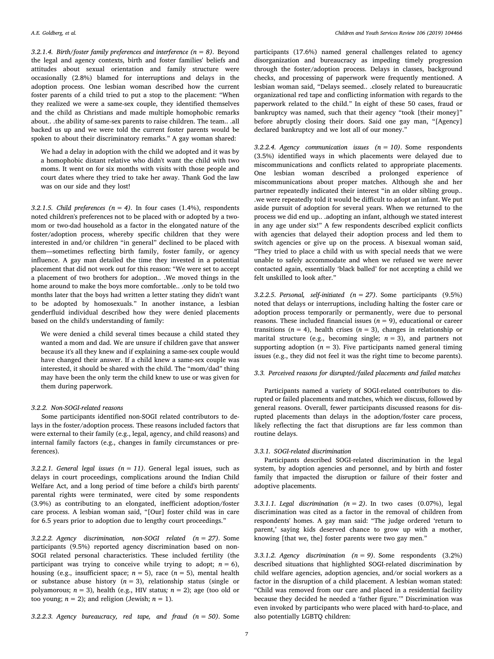*3.2.1.4. Birth/foster family preferences and interference (n = 8)*. Beyond the legal and agency contexts, birth and foster families' beliefs and attitudes about sexual orientation and family structure were occasionally (2.8%) blamed for interruptions and delays in the adoption process. One lesbian woman described how the current foster parents of a child tried to put a stop to the placement: "When they realized we were a same-sex couple, they identified themselves and the child as Christians and made multiple homophobic remarks about.. .the ability of same-sex parents to raise children. The team.. .all backed us up and we were told the current foster parents would be spoken to about their discriminatory remarks." A gay woman shared:

We had a delay in adoption with the child we adopted and it was by a homophobic distant relative who didn't want the child with two moms. It went on for six months with visits with those people and court dates where they tried to take her away. Thank God the law was on our side and they lost!

3.2.1.5. Child preferences  $(n = 4)$ . In four cases  $(1.4\%)$ , respondents noted children's preferences not to be placed with or adopted by a twomom or two-dad household as a factor in the elongated nature of the foster/adoption process, whereby specific children that they were interested in and/or children "in general" declined to be placed with them—sometimes reflecting birth family, foster family, or agency influence. A gay man detailed the time they invested in a potential placement that did not work out for this reason: "We were set to accept a placement of two brothers for adoption.. .We moved things in the home around to make the boys more comfortable.. .only to be told two months later that the boys had written a letter stating they didn't want to be adopted by homosexuals." In another instance, a lesbian genderfluid individual described how they were denied placements based on the child's understanding of family:

We were denied a child several times because a child stated they wanted a mom and dad. We are unsure if children gave that answer because it's all they knew and if explaining a same-sex couple would have changed their answer. If a child knew a same-sex couple was interested, it should be shared with the child. The "mom/dad" thing may have been the only term the child knew to use or was given for them during paperwork.

#### *3.2.2. Non-SOGI-related reasons*

Some participants identified non-SOGI related contributors to delays in the foster/adoption process. These reasons included factors that were external to their family (e.g., legal, agency, and child reasons) and internal family factors (e.g., changes in family circumstances or preferences).

*3.2.2.1. General legal issues (n = 11)*. General legal issues, such as delays in court proceedings, complications around the Indian Child Welfare Act, and a long period of time before a child's birth parents' parental rights were terminated, were cited by some respondents (3.9%) as contributing to an elongated, inefficient adoption/foster care process. A lesbian woman said, "[Our] foster child was in care for 6.5 years prior to adoption due to lengthy court proceedings."

*3.2.2.2. Agency discrimination, non-SOGI related (n = 27)*. Some participants (9.5%) reported agency discrimination based on non-SOGI related personal characteristics. These included fertility (the participant was trying to conceive while trying to adopt;  $n = 6$ ), housing (e.g., insufficient space;  $n = 5$ ), race ( $n = 5$ ), mental health or substance abuse history  $(n = 3)$ , relationship status (single or polyamorous;  $n = 3$ ), health (e.g., HIV status;  $n = 2$ ); age (too old or too young;  $n = 2$ ); and religion (Jewish;  $n = 1$ ).

*3.2.2.3. Agency bureaucracy, red tape, and fraud (n = 50)*. Some

participants (17.6%) named general challenges related to agency disorganization and bureaucracy as impeding timely progression through the foster/adoption process. Delays in classes, background checks, and processing of paperwork were frequently mentioned. A lesbian woman said, "Delays seemed.. .closely related to bureaucratic organizational red tape and conflicting information with regards to the paperwork related to the child." In eight of these 50 cases, fraud or bankruptcy was named, such that their agency "took [their money]" before abruptly closing their doors. Said one gay man, "[Agency] declared bankruptcy and we lost all of our money.'

*3.2.2.4. Agency communication issues (n = 10)*. Some respondents (3.5%) identified ways in which placements were delayed due to miscommunications and conflicts related to appropriate placements. One lesbian woman described a prolonged experience of miscommunications about proper matches. Although she and her partner repeatedly indicated their interest "in an older sibling group.. .we were repeatedly told it would be difficult to adopt an infant. We put aside pursuit of adoption for several years. When we returned to the process we did end up.. .adopting an infant, although we stated interest in any age under six!" A few respondents described explicit conflicts with agencies that delayed their adoption process and led them to switch agencies or give up on the process. A bisexual woman said, "They tried to place a child with us with special needs that we were unable to safely accommodate and when we refused we were never contacted again, essentially 'black balled' for not accepting a child we felt unskilled to look after."

*3.2.2.5. Personal, self-initiated (n = 27)*. Some participants (9.5%) noted that delays or interruptions, including halting the foster care or adoption process temporarily or permanently, were due to personal reasons. These included financial issues  $(n = 9)$ , educational or career transitions  $(n = 4)$ , health crises  $(n = 3)$ , changes in relationship or marital structure (e.g., becoming single;  $n = 3$ ), and partners not supporting adoption  $(n = 3)$ . Five participants named general timing issues (e.g., they did not feel it was the right time to become parents).

## *3.3. Perceived reasons for disrupted/failed placements and failed matches*

Participants named a variety of SOGI-related contributors to disrupted or failed placements and matches, which we discuss, followed by general reasons. Overall, fewer participants discussed reasons for disrupted placements than delays in the adoption/foster care process, likely reflecting the fact that disruptions are far less common than routine delays.

#### *3.3.1. SOGI-related discrimination*

Participants described SOGI-related discrimination in the legal system, by adoption agencies and personnel, and by birth and foster family that impacted the disruption or failure of their foster and adoptive placements.

*3.3.1.1. Legal discrimination (n = 2)*. In two cases (0.07%), legal discrimination was cited as a factor in the removal of children from respondents' homes. A gay man said: "The judge ordered 'return to parent,' saying kids deserved chance to grow up with a mother, knowing [that we, the] foster parents were two gay men."

*3.3.1.2. Agency discrimination (n = 9)*. Some respondents (3.2%) described situations that highlighted SOGI-related discrimination by child welfare agencies, adoption agencies, and/or social workers as a factor in the disruption of a child placement. A lesbian woman stated: "Child was removed from our care and placed in a residential facility because they decided he needed a 'father figure.'" Discrimination was even invoked by participants who were placed with hard-to-place, and also potentially LGBTQ children: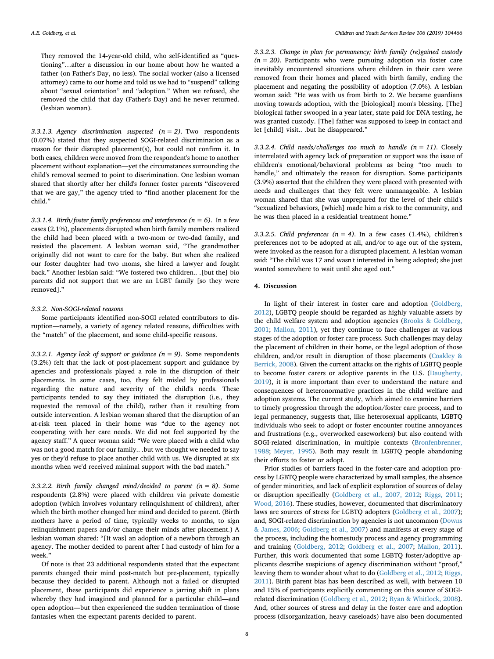They removed the 14-year-old child, who self-identified as "questioning"…after a discussion in our home about how he wanted a father (on Father's Day, no less). The social worker (also a licensed attorney) came to our home and told us we had to "suspend" talking about "sexual orientation" and "adoption." When we refused, she removed the child that day (Father's Day) and he never returned. (lesbian woman).

*3.3.1.3. Agency discrimination suspected (n = 2)*. Two respondents (0.07%) stated that they suspected SOGI-related discrimination as a reason for their disrupted placement(s), but could not confirm it. In both cases, children were moved from the respondent's home to another placement without explanation—yet the circumstances surrounding the child's removal seemed to point to discrimination. One lesbian woman shared that shortly after her child's former foster parents "discovered that we are gay," the agency tried to "find another placement for the child."

*3.3.1.4. Birth/foster family preferences and interference (n = 6)*. In a few cases (2.1%), placements disrupted when birth family members realized the child had been placed with a two-mom or two-dad family, and resisted the placement. A lesbian woman said, "The grandmother originally did not want to care for the baby. But when she realized our foster daughter had two moms, she hired a lawyer and fought back." Another lesbian said: "We fostered two children.. .[but the] bio parents did not support that we are an LGBT family [so they were removed]."

#### *3.3.2. Non-SOGI-related reasons*

Some participants identified non-SOGI related contributors to disruption—namely, a variety of agency related reasons, difficulties with the "match" of the placement, and some child-specific reasons.

*3.3.2.1. Agency lack of support or guidance (n = 9)*. Some respondents (3.2%) felt that the lack of post-placement support and guidance by agencies and professionals played a role in the disruption of their placements. In some cases, too, they felt misled by professionals regarding the nature and severity of the child's needs. These participants tended to say they initiated the disruption (i.e., they requested the removal of the child), rather than it resulting from outside intervention. A lesbian woman shared that the disruption of an at-risk teen placed in their home was "due to the agency not cooperating with her care needs. We did not feel supported by the agency staff." A queer woman said: "We were placed with a child who was not a good match for our family.. .but we thought we needed to say yes or they'd refuse to place another child with us. We disrupted at six months when we'd received minimal support with the bad match."

*3.3.2.2. Birth family changed mind/decided to parent (n = 8)*. Some respondents (2.8%) were placed with children via private domestic adoption (which involves voluntary relinquishment of children), after which the birth mother changed her mind and decided to parent. (Birth mothers have a period of time, typically weeks to months, to sign relinquishment papers and/or change their minds after placement.) A lesbian woman shared: "[It was] an adoption of a newborn through an agency. The mother decided to parent after I had custody of him for a week."

Of note is that 23 additional respondents stated that the expectant parents changed their mind post-match but pre-placement, typically because they decided to parent. Although not a failed or disrupted placement, these participants did experience a jarring shift in plans whereby they had imagined and planned for a particular child—and open adoption—but then experienced the sudden termination of those fantasies when the expectant parents decided to parent.

*3.3.2.3. Change in plan for permanency; birth family (re)gained custody (n = 20)*. Participants who were pursuing adoption via foster care inevitably encountered situations where children in their care were removed from their homes and placed with birth family, ending the placement and negating the possibility of adoption (7.0%). A lesbian woman said: "He was with us from birth to 2. We became guardians moving towards adoption, with the [biological] mom's blessing. [The] biological father swooped in a year later, state paid for DNA testing, he was granted custody. [The] father was supposed to keep in contact and let [child] visit.. .but he disappeared."

*3.3.2.4. Child needs/challenges too much to handle (n = 11)*. Closely interrelated with agency lack of preparation or support was the issue of children's emotional/behavioral problems as being "too much to handle," and ultimately the reason for disruption. Some participants (3.9%) asserted that the children they were placed with presented with needs and challenges that they felt were unmanageable. A lesbian woman shared that she was unprepared for the level of their child's "sexualized behaviors, [which] made him a risk to the community, and he was then placed in a residential treatment home."

3.3.2.5. Child preferences  $(n = 4)$ . In a few cases  $(1.4\%)$ , children's preferences not to be adopted at all, and/or to age out of the system, were invoked as the reason for a disrupted placement. A lesbian woman said: "The child was 17 and wasn't interested in being adopted; she just wanted somewhere to wait until she aged out."

## **4. Discussion**

In light of their interest in foster care and adoption [\(Goldberg,](#page-10-10) [2012\)](#page-10-10), LGBTQ people should be regarded as highly valuable assets by the child welfare system and adoption agencies ([Brooks & Goldberg,](#page-9-2) [2001;](#page-9-2) [Mallon, 2011](#page-10-2)), yet they continue to face challenges at various stages of the adoption or foster care process. Such challenges may delay the placement of children in their home, or the legal adoption of those children, and/or result in disruption of those placements ([Coakley &](#page-9-1) [Berrick, 2008](#page-9-1)). Given the current attacks on the rights of LGBTQ people to become foster carers or adoptive parents in the U.S. ([Daugherty,](#page-9-5) [2019\)](#page-9-5), it is more important than ever to understand the nature and consequences of heteronormative practices in the child welfare and adoption systems. The current study, which aimed to examine barriers to timely progression through the adoption/foster care process, and to legal permanency, suggests that, like heterosexual applicants, LGBTQ individuals who seek to adopt or foster encounter routine annoyances and frustrations (e.g., overworked caseworkers) but also contend with SOGI-related discrimination, in multiple contexts [\(Bronfenbrenner,](#page-9-14) [1988;](#page-9-14) [Meyer, 1995\)](#page-10-31). Both may result in LGBTQ people abandoning their efforts to foster or adopt.

Prior studies of barriers faced in the foster-care and adoption process by LGBTQ people were characterized by small samples, the absence of gender minorities, and lack of explicit exploration of sources of delay or disruption specifically ([Goldberg et al., 2007, 2012](#page-10-4); [Riggs, 2011](#page-10-5); [Wood, 2016\)](#page-10-7). These studies, however, documented that discriminatory laws are sources of stress for LGBTQ adopters [\(Goldberg et al., 2007](#page-10-4)); and, SOGI-related discrimination by agencies is not uncommon ([Downs](#page-9-3) [& James, 2006;](#page-9-3) [Goldberg et al., 2007\)](#page-10-4) and manifests at every stage of the process, including the homestudy process and agency programming and training ([Goldberg, 2012;](#page-10-10) [Goldberg et al., 2007](#page-10-4); [Mallon, 2011](#page-10-2)). Further, this work documented that some LGBTQ foster/adoptive applicants describe suspicions of agency discrimination without "proof," leaving them to wonder about what to do ([Goldberg et al., 2012;](#page-10-6) [Riggs,](#page-10-5) [2011\)](#page-10-5). Birth parent bias has been described as well, with between 10 and 15% of participants explicitly commenting on this source of SOGIrelated discrimination [\(Goldberg et al., 2012](#page-10-6); [Ryan & Whitlock, 2008](#page-10-11)). And, other sources of stress and delay in the foster care and adoption process (disorganization, heavy caseloads) have also been documented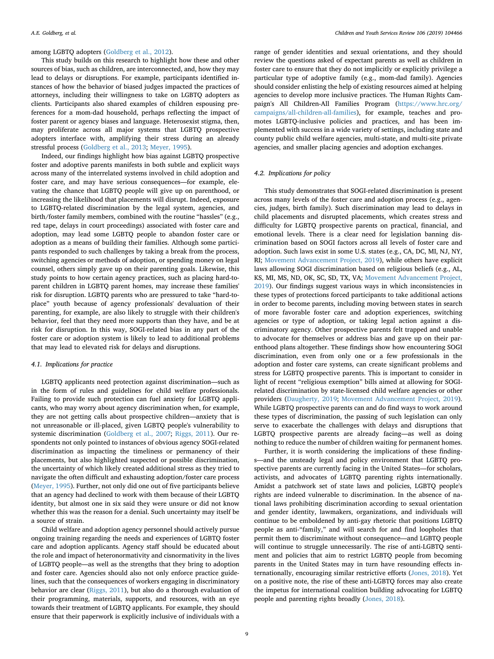## among LGBTQ adopters ([Goldberg et al., 2012\)](#page-10-6).

This study builds on this research to highlight how these and other sources of bias, such as children, are interconnected, and, how they may lead to delays or disruptions. For example, participants identified instances of how the behavior of biased judges impacted the practices of attorneys, including their willingness to take on LGBTQ adopters as clients. Participants also shared examples of children espousing preferences for a mom-dad household, perhaps reflecting the impact of foster parent or agency biases and language. Heterosexist stigma, then, may proliferate across all major systems that LGBTQ prospective adopters interface with, amplifying their stress during an already stressful process ([Goldberg et al., 2013](#page-10-12); [Meyer, 1995](#page-10-31)).

Indeed, our findings highlight how bias against LGBTQ prospective foster and adoptive parents manifests in both subtle and explicit ways across many of the interrelated systems involved in child adoption and foster care, and may have serious consequences—for example, elevating the chance that LGBTQ people will give up on parenthood, or increasing the likelihood that placements will disrupt. Indeed, exposure to LGBTQ-related discrimination by the legal system, agencies, and birth/foster family members, combined with the routine "hassles" (e.g., red tape, delays in court proceedings) associated with foster care and adoption, may lead some LGBTQ people to abandon foster care or adoption as a means of building their families. Although some participants responded to such challenges by taking a break from the process, switching agencies or methods of adoption, or spending money on legal counsel, others simply gave up on their parenting goals. Likewise, this study points to how certain agency practices, such as placing hard-toparent children in LGBTQ parent homes, may increase these families' risk for disruption. LGBTQ parents who are pressured to take "hard-toplace" youth because of agency professionals' devaluation of their parenting, for example, are also likely to struggle with their children's behavior, feel that they need more supports than they have, and be at risk for disruption. In this way, SOGI-related bias in any part of the foster care or adoption system is likely to lead to additional problems that may lead to elevated risk for delays and disruptions.

## *4.1. Implications for practice*

LGBTQ applicants need protection against discrimination—such as in the form of rules and guidelines for child welfare professionals. Failing to provide such protection can fuel anxiety for LGBTQ applicants, who may worry about agency discrimination when, for example, they are not getting calls about prospective children—anxiety that is not unreasonable or ill-placed, given LGBTQ people's vulnerability to systemic discrimination [\(Goldberg et al., 2007;](#page-10-4) [Riggs, 2011\)](#page-10-5). Our respondents not only pointed to instances of obvious agency SOGI-related discrimination as impacting the timeliness or permanency of their placements, but also highlighted suspected or possible discrimination, the uncertainty of which likely created additional stress as they tried to navigate the often difficult and exhausting adoption/foster care process ([Meyer, 1995\)](#page-10-31). Further, not only did one out of five participants believe that an agency had declined to work with them because of their LGBTQ identity, but almost one in six said they were unsure or did not know whether this was the reason for a denial. Such uncertainty may itself be a source of strain.

Child welfare and adoption agency personnel should actively pursue ongoing training regarding the needs and experiences of LGBTQ foster care and adoption applicants. Agency staff should be educated about the role and impact of heteronormativity and cisnormativity in the lives of LGBTQ people—as well as the strengths that they bring to adoption and foster care. Agencies should also not only enforce practice guidelines, such that the consequences of workers engaging in discriminatory behavior are clear ([Riggs, 2011\)](#page-10-5), but also do a thorough evaluation of their programming, materials, supports, and resources, with an eye towards their treatment of LGBTQ applicants. For example, they should ensure that their paperwork is explicitly inclusive of individuals with a

range of gender identities and sexual orientations, and they should review the questions asked of expectant parents as well as children in foster care to ensure that they do not implicitly or explicitly privilege a particular type of adoptive family (e.g., mom-dad family). Agencies should consider enlisting the help of existing resources aimed at helping agencies to develop more inclusive practices. The Human Rights Campaign's All Children-All Families Program ([https://www.hrc.org/](https://www.hrc.org/campaigns/all-children-all-families) [campaigns/all-children-all-families\)](https://www.hrc.org/campaigns/all-children-all-families), for example, teaches and promotes LGBTQ-inclusive policies and practices, and has been implemented with success in a wide variety of settings, including state and county public child welfare agencies, multi-state, and multi-site private agencies, and smaller placing agencies and adoption exchanges.

## *4.2. Implications for policy*

This study demonstrates that SOGI-related discrimination is present across many levels of the foster care and adoption process (e.g., agencies, judges, birth family). Such discrimination may lead to delays in child placements and disrupted placements, which creates stress and difficulty for LGBTQ prospective parents on practical, financial, and emotional levels. There is a clear need for legislation banning discrimination based on SOGI factors across all levels of foster care and adoption. Such laws exist in some U.S. states (e.g., CA, DC, MI, NJ, NY, RI; [Movement Advancement Project, 2019\)](#page-10-34), while others have explicit laws allowing SOGI discrimination based on religious beliefs (e.g., AL, KS, MI, MS, ND, OK, SC, SD, TX, VA; [Movement Advancement Project,](#page-10-34) [2019\)](#page-10-34). Our findings suggest various ways in which inconsistencies in these types of protections forced participants to take additional actions in order to become parents, including moving between states in search of more favorable foster care and adoption experiences, switching agencies or type of adoption, or taking legal action against a discriminatory agency. Other prospective parents felt trapped and unable to advocate for themselves or address bias and gave up on their parenthood plans altogether. These findings show how encountering SOGI discrimination, even from only one or a few professionals in the adoption and foster care systems, can create significant problems and stress for LGBTQ prospective parents. This is important to consider in light of recent "religious exemption" bills aimed at allowing for SOGIrelated discrimination by state-licensed child welfare agencies or other providers [\(Daugherty, 2019](#page-9-5); [Movement Advancement Project, 2019](#page-10-34)). While LGBTQ prospective parents can and do find ways to work around these types of discrimination, the passing of such legislation can only serve to exacerbate the challenges with delays and disruptions that LGBTQ prospective parents are already facing—as well as doing nothing to reduce the number of children waiting for permanent homes.

Further, it is worth considering the implications of these findings—and the unsteady legal and policy environment that LGBTQ prospective parents are currently facing in the United States—for scholars, activists, and advocates of LGBTQ parenting rights internationally. Amidst a patchwork set of state laws and policies, LGBTQ people's rights are indeed vulnerable to discrimination. In the absence of national laws prohibiting discrimination according to sexual orientation and gender identity, lawmakers, organizations, and individuals will continue to be emboldened by anti-gay rhetoric that positions LGBTQ people as anti-"family," and will search for and find loopholes that permit them to discriminate without consequence—and LGBTQ people will continue to struggle unnecessarily. The rise of anti-LGBTQ sentiment and policies that aim to restrict LGBTQ people from becoming parents in the United States may in turn have resounding effects internationally, encouraging similar restrictive efforts ([Jones, 2018](#page-10-35)). Yet on a positive note, the rise of these anti-LGBTQ forces may also create the impetus for international coalition building advocating for LGBTQ people and parenting rights broadly [\(Jones, 2018](#page-10-35)).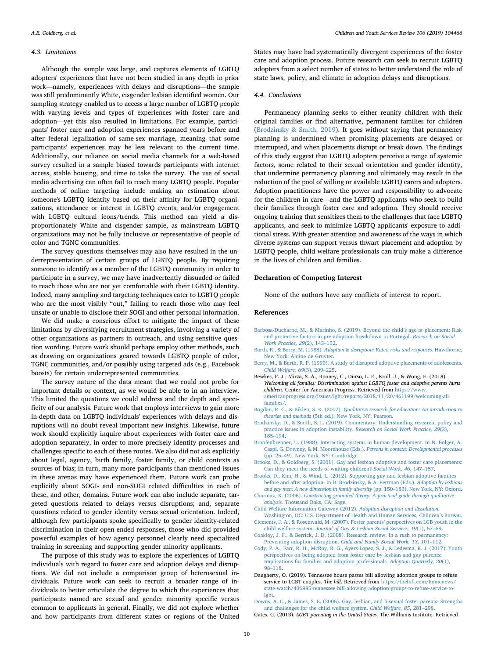#### *4.3. Limitations*

Although the sample was large, and captures elements of LGBTQ adopters' experiences that have not been studied in any depth in prior work—namely, experiences with delays and disruptions—the sample was still predominantly White, cisgender lesbian identified women. Our sampling strategy enabled us to access a large number of LGBTQ people with varying levels and types of experiences with foster care and adoption—yet this also resulted in limitations. For example, participants' foster care and adoption experiences spanned years before and after federal legalization of same-sex marriage, meaning that some participants' experiences may be less relevant to the current time. Additionally, our reliance on social media channels for a web-based survey resulted in a sample biased towards participants with internet access, stable housing, and time to take the survey. The use of social media advertising can often fail to reach many LGBTQ people. Popular methods of online targeting include making an estimation about someone's LGBTQ identity based on their affinity for LGBTQ organizations, attendance or interest in LGBTQ events, and/or engagement with LGBTQ cultural icons/trends. This method can yield a disproportionately White and cisgender sample, as mainstream LGBTQ organizations may not be fully inclusive or representative of people of color and TGNC communities.

The survey questions themselves may also have resulted in the underrepresentation of certain groups of LGBTQ people. By requiring someone to identify as a member of the LGBTQ community in order to participate in a survey, we may have inadvertently dissuaded or failed to reach those who are not yet comfortable with their LGBTQ identity. Indeed, many sampling and targeting techniques cater to LGBTQ people who are the most visibly "out," failing to reach those who may feel unsafe or unable to disclose their SOGI and other personal information.

We did make a conscious effort to mitigate the impact of these limitations by diversifying recruitment strategies, involving a variety of other organizations as partners in outreach, and using sensitive question wording. Future work should perhaps employ other methods, such as drawing on organizations geared towards LGBTQ people of color, TGNC communities, and/or possibly using targeted ads (e.g., Facebook boosts) for certain underrepresented communities.

The survey nature of the data meant that we could not probe for important details or context, as we would be able to in an interview. This limited the questions we could address and the depth and specificity of our analysis. Future work that employs interviews to gain more in-depth data on LGBTQ individuals' experiences with delays and disruptions will no doubt reveal important new insights. Likewise, future work should explicitly inquire about experiences with foster care and adoption separately, in order to more precisely identify processes and challenges specific to each of these routes. We also did not ask explicitly about legal, agency, birth family, foster family, or child contexts as sources of bias; in turn, many more participants than mentioned issues in these arenas may have experienced them. Future work can probe explicitly about SOGI- and non-SOGI related difficulties in each of these, and other, domains. Future work can also include separate, targeted questions related to delays versus disruptions; and, separate questions related to gender identity versus sexual orientation. Indeed, although few participants spoke specifically to gender identity-related discrimination in their open-ended responses, those who did provided powerful examples of how agency personnel clearly need specialized training in screening and supporting gender minority applicants.

The purpose of this study was to explore the experiences of LGBTQ individuals with regard to foster care and adoption delays and disruptions. We did not include a comparison group of heterosexual individuals. Future work can seek to recruit a broader range of individuals to better articulate the degree to which the experiences that participants named are sexual and gender minority specific versus common to applicants in general. Finally, we did not explore whether and how participants from different states or regions of the United States may have had systematically divergent experiences of the foster care and adoption process. Future research can seek to recruit LGBTQ adopters from a select number of states to better understand the role of state laws, policy, and climate in adoption delays and disruptions.

#### *4.4. Conclusions*

Permanency planning seeks to either reunify children with their original families or find alternative, permanent families for children ([Brodzinsky & Smith, 2019\)](#page-9-13). It goes without saying that permanency planning is undermined when promising placements are delayed or interrupted, and when placements disrupt or break down. The findings of this study suggest that LGBTQ adopters perceive a range of systemic factors, some related to their sexual orientation and gender identity, that undermine permanency planning and ultimately may result in the reduction of the pool of willing or available LGBTQ carers and adopters. Adoption practitioners have the power and responsibility to advocate for the children in care—and the LGBTQ applicants who seek to build their families through foster care and adoption. They should receive ongoing training that sensitizes them to the challenges that face LGBTQ applicants, and seek to minimize LGBTQ applicants' exposure to additional stress. With greater attention and awareness of the ways in which diverse systems can support versus thwart placement and adoption by LGBTQ people, child welfare professionals can truly make a difference in the lives of children and families.

#### **Declaration of Competing Interest**

None of the authors have any conflicts of interest to report.

#### **References**

- <span id="page-9-11"></span>[Barbosa-Ducharne, M., & Marinho, S. \(2019\). Beyond the child's age at placement: Risk](http://refhub.elsevier.com/S0190-7409(19)30579-1/rf0005) [and protective factors in pre-adoption breakdown in Portugal.](http://refhub.elsevier.com/S0190-7409(19)30579-1/rf0005) *Research on Social [Work Practice, 29](http://refhub.elsevier.com/S0190-7409(19)30579-1/rf0005)*(2), 143–152.
- <span id="page-9-12"></span>Barth, R., & Berry, M. (1988). *[Adoption & disruption: Rates, risks and responses.](http://refhub.elsevier.com/S0190-7409(19)30579-1/rf0010)* Hawthorne, [New York: Aldine de Gruyter.](http://refhub.elsevier.com/S0190-7409(19)30579-1/rf0010)
- <span id="page-9-10"></span>[Berry, M., & Barth, R. P. \(1990\). A study of disrupted adoptive placements of adolescents.](http://refhub.elsevier.com/S0190-7409(19)30579-1/rf0015) *[Child Welfare, 69](http://refhub.elsevier.com/S0190-7409(19)30579-1/rf0015)*(3), 209–225.
- <span id="page-9-4"></span>Bewkes, F. J., Mirza, S. A., Rooney, C., Durso, L. E., Kroll, J., & Wong, E. (2018). *Welcoming all families: Discrimination against LGBTQ foster and adoptive parents hurts children.* Center for American Progress. Retrieved from [https://www.](https://www.americanprogress.org/issues/lgbt/reports/2018/11/20/461199/welcoming-all-families/) [americanprogress.org/issues/lgbt/reports/2018/11/20/461199/welcoming-all](https://www.americanprogress.org/issues/lgbt/reports/2018/11/20/461199/welcoming-all-families/)[families/.](https://www.americanprogress.org/issues/lgbt/reports/2018/11/20/461199/welcoming-all-families/)
- <span id="page-9-15"></span>Bogdan, R. C., & Biklen, S. K. (2007). *[Qualitative research for education: An introduction to](http://refhub.elsevier.com/S0190-7409(19)30579-1/rf0025) theories and methods* [\(5th ed.\). New York, NY: Pearson.](http://refhub.elsevier.com/S0190-7409(19)30579-1/rf0025)
- <span id="page-9-13"></span>[Brodzinsky, D., & Smith, S. L. \(2019\). Commentary: Understanding research, policy and](http://refhub.elsevier.com/S0190-7409(19)30579-1/rf0030) [practice issues in adoption instability.](http://refhub.elsevier.com/S0190-7409(19)30579-1/rf0030) *Research on Social Work Practice, 29*(2), [185–194](http://refhub.elsevier.com/S0190-7409(19)30579-1/rf0030).
- <span id="page-9-14"></span>[Bronfenbrenner, U. \(1988\). Interacting systems in human development. In N. Bolger, A.](http://refhub.elsevier.com/S0190-7409(19)30579-1/rf0035) [Caspi, G. Downey, & M. Moorehouse \(Eds.\).](http://refhub.elsevier.com/S0190-7409(19)30579-1/rf0035) *Persons in context: Developmental processes* [\(pp. 25–49\). New York, NY: Cambridge](http://refhub.elsevier.com/S0190-7409(19)30579-1/rf0035).
- <span id="page-9-2"></span>[Brooks, D., & Goldberg, S. \(2001\). Gay and lesbian adoptive and foster care placements:](http://refhub.elsevier.com/S0190-7409(19)30579-1/rf0040) [Can they meet the needs of waiting children?](http://refhub.elsevier.com/S0190-7409(19)30579-1/rf0040) *Social Work, 46*, 147–157.
- <span id="page-9-6"></span>[Brooks, D., Kim, H., & Wind, L. \(2012\). Supporting gay and lesbian adoptive families](http://refhub.elsevier.com/S0190-7409(19)30579-1/rf0045) [before and after adoption. In D. Brodzinsky, & A. Pertman \(Eds.\).](http://refhub.elsevier.com/S0190-7409(19)30579-1/rf0045) *Adoption by lesbians [and gay men: A new dimension in family diversity](http://refhub.elsevier.com/S0190-7409(19)30579-1/rf0045)* (pp. 150–183). New York, NY: Oxford.
- <span id="page-9-16"></span>Charmaz, K. (2006). *[Constructing grounded theory: A practical guide through qualitative](http://refhub.elsevier.com/S0190-7409(19)30579-1/rf0050) analysis.* [Thousand Oaks, CA: Sage](http://refhub.elsevier.com/S0190-7409(19)30579-1/rf0050).
- <span id="page-9-9"></span>[Child Welfare Information Gateway \(2012\).](http://refhub.elsevier.com/S0190-7409(19)30579-1/rf0055) *Adoption disruption and dissolution.* [Washington, DC: U.S. Department of Health and Human Services, Children's Bureau.](http://refhub.elsevier.com/S0190-7409(19)30579-1/rf0055)
- <span id="page-9-8"></span>[Clements, J. A., & Rosenwald, M. \(2007\). Foster parents' perspectives on LGB youth in the](http://refhub.elsevier.com/S0190-7409(19)30579-1/rf0060) child welfare system. *[Journal of Gay & Lesbian Social Services, 19](http://refhub.elsevier.com/S0190-7409(19)30579-1/rf0060)*(1), 57–69.
- <span id="page-9-1"></span>[Coakley, J. F., & Berrick, J. D. \(2008\). Research review: In a rush to permanency:](http://refhub.elsevier.com/S0190-7409(19)30579-1/rf0065) Preventing adoption disruption. *[Child and Family Social Work, 13](http://refhub.elsevier.com/S0190-7409(19)30579-1/rf0065)*, 101–112.
- <span id="page-9-7"></span>[Cody, P. A., Farr, R. H., McRoy, R. G., Ayers-Lopez, S. J., & Ledesma, K. J. \(2017\). Youth](http://refhub.elsevier.com/S0190-7409(19)30579-1/rf0070) [perspectives on being adopted from foster care by lesbian and gay parents:](http://refhub.elsevier.com/S0190-7409(19)30579-1/rf0070) [Implications for families and adoption professionals.](http://refhub.elsevier.com/S0190-7409(19)30579-1/rf0070) *Adoption Quarterly, 20*(1), [98–118.](http://refhub.elsevier.com/S0190-7409(19)30579-1/rf0070)
- <span id="page-9-5"></span>Daugherty, O. (2019). Tennessee house passes bill allowing adoption groups to refuse service to LGBT couples. *The hill*. Retrieved from [https://thehill.com/homenews/](https://thehill.com/homenews/state-watch/436985-tennessee-bill-allowing-adoption-groups-to-refuse-service-to-lgbt) [state-watch/436985-tennessee-bill-allowing-adoption-groups-to-refuse-service-to](https://thehill.com/homenews/state-watch/436985-tennessee-bill-allowing-adoption-groups-to-refuse-service-to-lgbt)[lgbt](https://thehill.com/homenews/state-watch/436985-tennessee-bill-allowing-adoption-groups-to-refuse-service-to-lgbt).
- <span id="page-9-3"></span>[Downs, A. C., & James, S. E. \(2006\). Gay, lesbian, and bisexual foster parents: Strengths](http://refhub.elsevier.com/S0190-7409(19)30579-1/rf0080) [and challenges for the child welfare system.](http://refhub.elsevier.com/S0190-7409(19)30579-1/rf0080) *Child Welfare, 85*, 281–298.
- <span id="page-9-0"></span>Gates, G. (2013). *LGBT parenting in the United States.* The Williams Institute. Retrieved